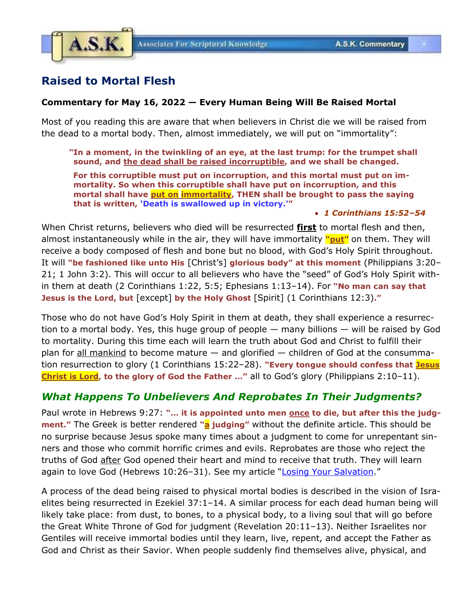

# **Raised to Mortal Flesh**

## **Commentary for May 16, 2022 — Every Human Being Will Be Raised Mortal**

Most of you reading this are aware that when believers in Christ die we will be raised from the dead to a mortal body. Then, almost immediately, we will put on "immortality":

**"In a moment, in the twinkling of an eye, at the last trump: for the trumpet shall sound, and the dead shall be raised incorruptible, and we shall be changed.**

**For this corruptible must put on incorruption, and this mortal must put on immortality. So when this corruptible shall have put on incorruption, and this mortal shall have put on immortality, THEN shall be brought to pass the saying that is written, 'Death is swallowed up in victory.'"**

#### • *1 Corinthians 15:52–54*

When Christ returns, believers who died will be resurrected **first** to mortal flesh and then, almost instantaneously while in the air, they will have immortality **"put"** on them. They will receive a body composed of flesh and bone but no blood, with God's Holy Spirit throughout. It will **"be fashioned like unto His** [Christ's] **glorious body" at this moment** (Philippians 3:20– 21; 1 John 3:2). This will occur to all believers who have the "seed" of God's Holy Spirit within them at death (2 Corinthians 1:22, 5:5; Ephesians 1:13–14). For **"No man can say that Jesus is the Lord, but** [except] **by the Holy Ghost** [Spirit] (1 Corinthians 12:3)**."**

Those who do not have God's Holy Spirit in them at death, they shall experience a resurrection to a mortal body. Yes, this huge group of people — many billions — will be raised by God to mortality. During this time each will learn the truth about God and Christ to fulfill their plan for all mankind to become mature  $-$  and glorified  $-$  children of God at the consummation resurrection to glory (1 Corinthians 15:22–28). **"Every tongue should confess that Jesus Christ is Lord, to the glory of God the Father …"** all to God's glory (Philippians 2:10–11).

# *What Happens To Unbelievers And Reprobates In Their Judgments?*

Paul wrote in Hebrews 9:27: "... it is appointed unto men once to die, but after this the judg**ment."** The Greek is better rendered **"a judging"** without the definite article. This should be no surprise because Jesus spoke many times about a judgment to come for unrepentant sinners and those who commit horrific crimes and evils. Reprobates are those who reject the truths of God after God opened their heart and mind to receive that truth. They will learn again to love God (Hebrews 10:26-31). See my article "[Losing Your Salvation](https://www.askelm.com/doctrine/d191201.pdf)."

A process of the dead being raised to physical mortal bodies is described in the vision of Israelites being resurrected in Ezekiel 37:1–14. A similar process for each dead human being will likely take place: from dust, to bones, to a physical body, to a living soul that will go before the Great White Throne of God for judgment (Revelation 20:11–13). Neither Israelites nor Gentiles will receive immortal bodies until they learn, live, repent, and accept the Father as God and Christ as their Savior. When people suddenly find themselves alive, physical, and